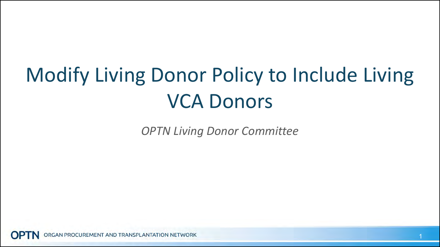## Modify Living Donor Policy to Include Living VCA Donors

*OPTN Living Donor Committee*

GAN PROCUREMENT AND TRANSPLANTATION NETWORK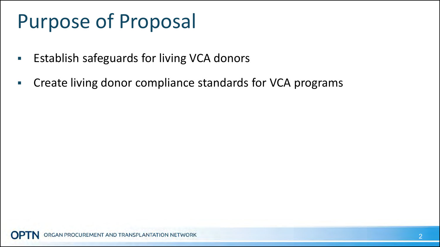### Purpose of Proposal

- **Establish safeguards for living VCA donors**
- **EXP** Create living donor compliance standards for VCA programs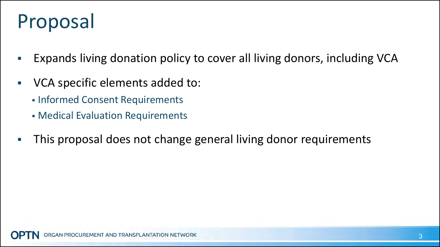### Proposal

- Expands living donation policy to cover all living donors, including VCA
- **VCA specific elements added to:** 
	- **Informed Consent Requirements**
	- Medical Evaluation Requirements
- This proposal does not change general living donor requirements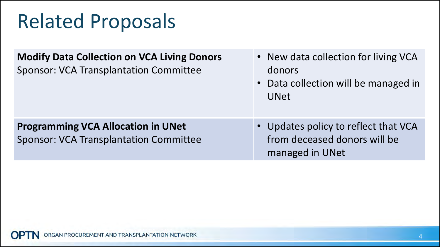### Related Proposals

| <b>Modify Data Collection on VCA Living Donors</b><br><b>Sponsor: VCA Transplantation Committee</b> | • New data collection for living VCA<br>donors<br>• Data collection will be managed in<br><b>UNet</b> |
|-----------------------------------------------------------------------------------------------------|-------------------------------------------------------------------------------------------------------|
| <b>Programming VCA Allocation in UNet</b><br><b>Sponsor: VCA Transplantation Committee</b>          | • Updates policy to reflect that VCA<br>from deceased donors will be<br>managed in UNet               |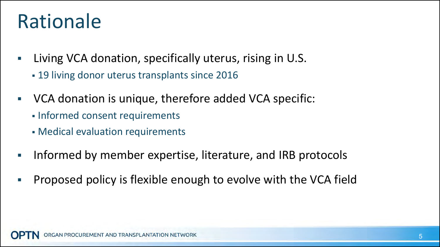### Rationale

- **Living VCA donation, specifically uterus, rising in U.S.** 
	- 19 living donor uterus transplants since 2016
- VCA donation is unique, therefore added VCA specific:
	- **Informed consent requirements**
	- Medical evaluation requirements
- Informed by member expertise, literature, and IRB protocols
- Proposed policy is flexible enough to evolve with the VCA field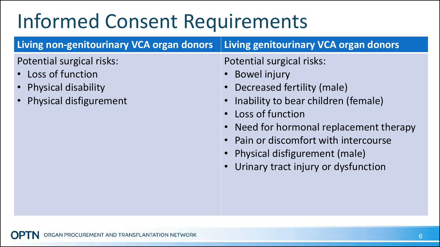### Informed Consent Requirements

| Living non-genitourinary VCA organ donors                                                            | <b>Living genitourinary VCA organ donors</b>                                                                                                                                                                                                                                                               |
|------------------------------------------------------------------------------------------------------|------------------------------------------------------------------------------------------------------------------------------------------------------------------------------------------------------------------------------------------------------------------------------------------------------------|
| Potential surgical risks:<br>• Loss of function<br>• Physical disability<br>• Physical disfigurement | Potential surgical risks:<br>• Bowel injury<br>• Decreased fertility (male)<br>• Inability to bear children (female)<br>• Loss of function<br>• Need for hormonal replacement therapy<br>• Pain or discomfort with intercourse<br>• Physical disfigurement (male)<br>• Urinary tract injury or dysfunction |
|                                                                                                      |                                                                                                                                                                                                                                                                                                            |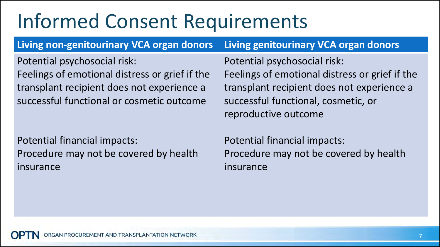### Informed Consent Requirements

### **Living non-genitourinary VCA organ donors Living genitourinary VCA organ donors**

Potential psychosocial risk: Feelings of emotional distress or grief if the transplant recipient does not experience a successful functional or cosmetic outcome

Potential financial impacts: Procedure may not be covered by health insurance

Potential psychosocial risk: Feelings of emotional distress or grief if the transplant recipient does not experience a successful functional, cosmetic, or reproductive outcome

Potential financial impacts: Procedure may not be covered by health insurance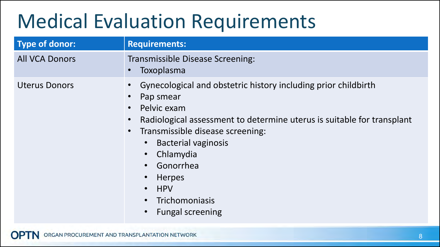### Medical Evaluation Requirements

| <b>Type of donor:</b> | <b>Requirements:</b>                                                                                                                                                                                                                                                                                                                               |
|-----------------------|----------------------------------------------------------------------------------------------------------------------------------------------------------------------------------------------------------------------------------------------------------------------------------------------------------------------------------------------------|
| <b>All VCA Donors</b> | Transmissible Disease Screening:<br>Toxoplasma                                                                                                                                                                                                                                                                                                     |
| <b>Uterus Donors</b>  | Gynecological and obstetric history including prior childbirth<br>Pap smear<br>Pelvic exam<br>Radiological assessment to determine uterus is suitable for transplant<br>Transmissible disease screening:<br>$\bullet$<br><b>Bacterial vaginosis</b><br>Chlamydia<br>Gonorrhea<br>Herpes<br><b>HPV</b><br>Trichomoniasis<br><b>Fungal screening</b> |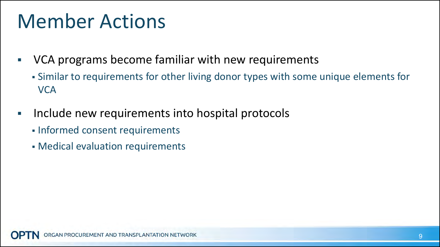### Member Actions

- VCA programs become familiar with new requirements
	- Similar to requirements for other living donor types with some unique elements for **VCA**
- **Include new requirements into hospital protocols** 
	- Informed consent requirements
	- Medical evaluation requirements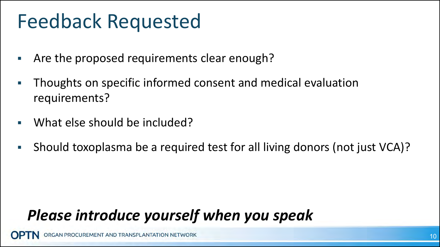### Feedback Requested

- **Are the proposed requirements clear enough?**
- Thoughts on specific informed consent and medical evaluation requirements?
- What else should be included?
- Should toxoplasma be a required test for all living donors (not just VCA)?

### *Please introduce yourself when you speak*

GAN PROCUREMENT AND TRANSPLANTATION NETWORK